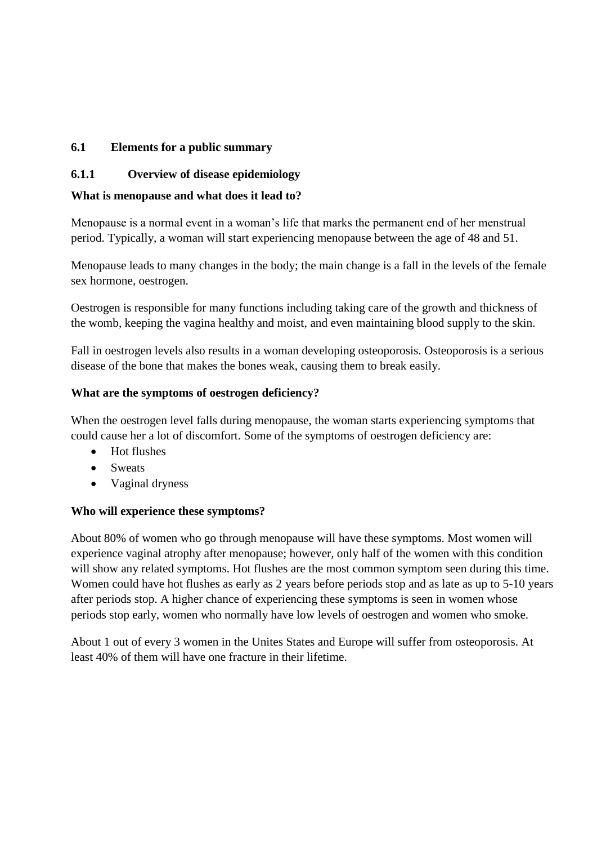## **6.1 Elements for a public summary**

## **6.1.1 Overview of disease epidemiology**

## **What is menopause and what does it lead to?**

Menopause is a normal event in a woman's life that marks the permanent end of her menstrual period. Typically, a woman will start experiencing menopause between the age of 48 and 51.

Menopause leads to many changes in the body; the main change is a fall in the levels of the female sex hormone, oestrogen.

Oestrogen is responsible for many functions including taking care of the growth and thickness of the womb, keeping the vagina healthy and moist, and even maintaining blood supply to the skin.

Fall in oestrogen levels also results in a woman developing osteoporosis. Osteoporosis is a serious disease of the bone that makes the bones weak, causing them to break easily.

#### **What are the symptoms of oestrogen deficiency?**

When the oestrogen level falls during menopause, the woman starts experiencing symptoms that could cause her a lot of discomfort. Some of the symptoms of oestrogen deficiency are:

- Hot flushes
- Sweats
- Vaginal dryness

#### **Who will experience these symptoms?**

About 80% of women who go through menopause will have these symptoms. Most women will experience vaginal atrophy after menopause; however, only half of the women with this condition will show any related symptoms. Hot flushes are the most common symptom seen during this time. Women could have hot flushes as early as 2 years before periods stop and as late as up to 5-10 years after periods stop. A higher chance of experiencing these symptoms is seen in women whose periods stop early, women who normally have low levels of oestrogen and women who smoke.

About 1 out of every 3 women in the Unites States and Europe will suffer from osteoporosis. At least 40% of them will have one fracture in their lifetime.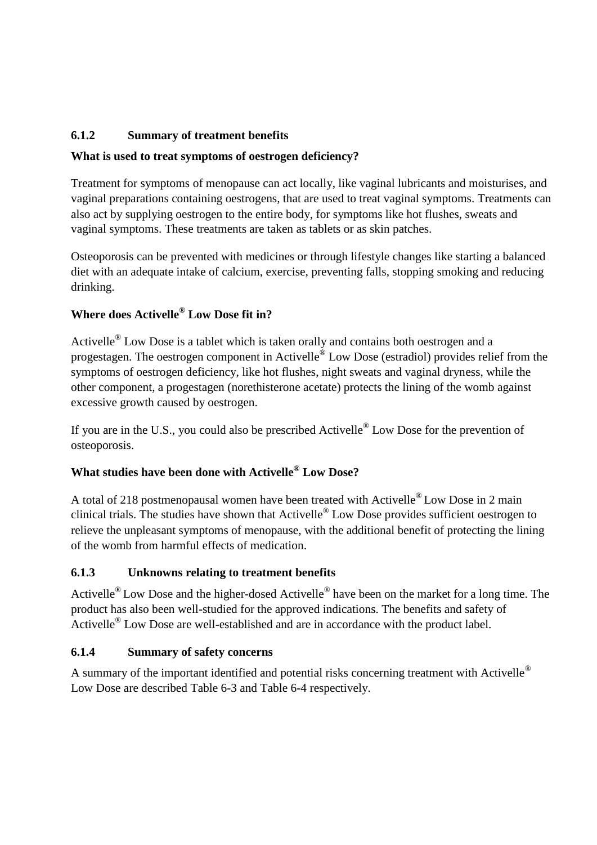# **6.1.2 Summary of treatment benefits**

# **What is used to treat symptoms of oestrogen deficiency?**

Treatment for symptoms of menopause can act locally, like vaginal lubricants and moisturises, and vaginal preparations containing oestrogens, that are used to treat vaginal symptoms. Treatments can also act by supplying oestrogen to the entire body, for symptoms like hot flushes, sweats and vaginal symptoms. These treatments are taken as tablets or as skin patches.

Osteoporosis can be prevented with medicines or through lifestyle changes like starting a balanced diet with an adequate intake of calcium, exercise, preventing falls, stopping smoking and reducing drinking.

# **Where does Activelle® Low Dose fit in?**

Activelle<sup>®</sup> Low Dose is a tablet which is taken orally and contains both oestrogen and a progestagen. The oestrogen component in Activelle<sup>®</sup> Low Dose (estradiol) provides relief from the symptoms of oestrogen deficiency, like hot flushes, night sweats and vaginal dryness, while the other component, a progestagen (norethisterone acetate) protects the lining of the womb against excessive growth caused by oestrogen.

If you are in the U.S., you could also be prescribed Activelle<sup>®</sup> Low Dose for the prevention of osteoporosis.

# **What studies have been done with Activelle® Low Dose?**

A total of 218 postmenopausal women have been treated with Activelle® Low Dose in 2 main clinical trials. The studies have shown that Activelle® Low Dose provides sufficient oestrogen to relieve the unpleasant symptoms of menopause, with the additional benefit of protecting the lining of the womb from harmful effects of medication.

# **6.1.3 Unknowns relating to treatment benefits**

Activelle<sup>®</sup> Low Dose and the higher-dosed Activelle<sup>®</sup> have been on the market for a long time. The product has also been well-studied for the approved indications. The benefits and safety of Activelle<sup>®</sup> Low Dose are well-established and are in accordance with the product label.

# **6.1.4 Summary of safety concerns**

A summary of the important identified and potential risks concerning treatment with Activelle<sup>®</sup> Low Dose are described Table 6-3 and Table 6-4 respectively.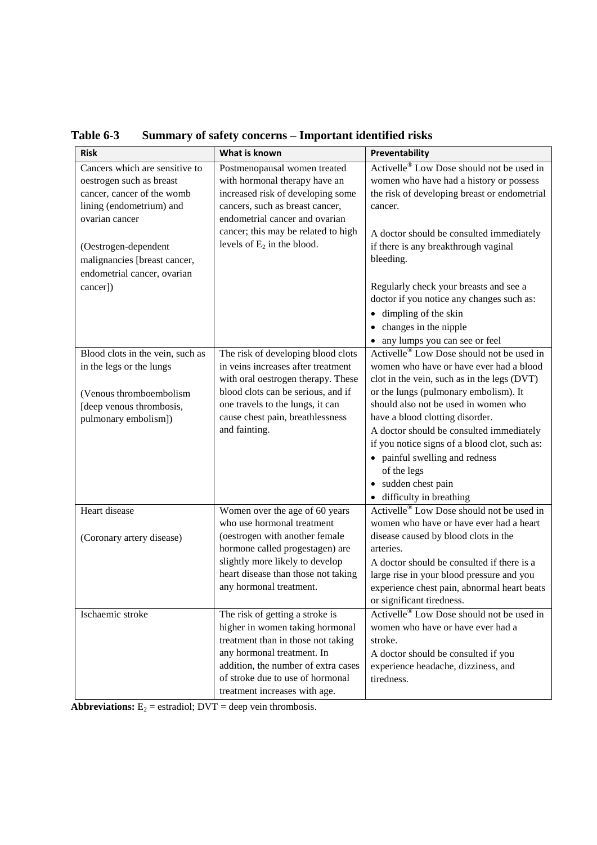| <b>Risk</b>                                                                                                                                                                                                                               | What is known                                                                                                                                                                                                                                      | Preventability                                                                                                                                                                                                                                                                                                                                                                                                                                                    |
|-------------------------------------------------------------------------------------------------------------------------------------------------------------------------------------------------------------------------------------------|----------------------------------------------------------------------------------------------------------------------------------------------------------------------------------------------------------------------------------------------------|-------------------------------------------------------------------------------------------------------------------------------------------------------------------------------------------------------------------------------------------------------------------------------------------------------------------------------------------------------------------------------------------------------------------------------------------------------------------|
| Cancers which are sensitive to<br>oestrogen such as breast<br>cancer, cancer of the womb<br>lining (endometrium) and<br>ovarian cancer<br>(Oestrogen-dependent<br>malignancies [breast cancer,<br>endometrial cancer, ovarian<br>cancer]) | Postmenopausal women treated<br>with hormonal therapy have an<br>increased risk of developing some<br>cancers, such as breast cancer,<br>endometrial cancer and ovarian<br>cancer; this may be related to high<br>levels of $E_2$ in the blood.    | Activelle <sup>®</sup> Low Dose should not be used in<br>women who have had a history or possess<br>the risk of developing breast or endometrial<br>cancer.<br>A doctor should be consulted immediately<br>if there is any breakthrough vaginal<br>bleeding.<br>Regularly check your breasts and see a<br>doctor if you notice any changes such as:<br>• dimpling of the skin<br>changes in the nipple                                                            |
|                                                                                                                                                                                                                                           |                                                                                                                                                                                                                                                    | • any lumps you can see or feel                                                                                                                                                                                                                                                                                                                                                                                                                                   |
| Blood clots in the vein, such as<br>in the legs or the lungs<br>(Venous thromboembolism<br>[deep venous thrombosis,<br>pulmonary embolism])                                                                                               | The risk of developing blood clots<br>in veins increases after treatment<br>with oral oestrogen therapy. These<br>blood clots can be serious, and if<br>one travels to the lungs, it can<br>cause chest pain, breathlessness<br>and fainting.      | Activelle <sup>®</sup> Low Dose should not be used in<br>women who have or have ever had a blood<br>clot in the vein, such as in the legs (DVT)<br>or the lungs (pulmonary embolism). It<br>should also not be used in women who<br>have a blood clotting disorder.<br>A doctor should be consulted immediately<br>if you notice signs of a blood clot, such as:<br>painful swelling and redness<br>of the legs<br>sudden chest pain<br>• difficulty in breathing |
| Heart disease                                                                                                                                                                                                                             | Women over the age of 60 years                                                                                                                                                                                                                     | Activelle <sup>®</sup> Low Dose should not be used in                                                                                                                                                                                                                                                                                                                                                                                                             |
| (Coronary artery disease)                                                                                                                                                                                                                 | who use hormonal treatment<br>(oestrogen with another female<br>hormone called progestagen) are<br>slightly more likely to develop<br>heart disease than those not taking<br>any hormonal treatment.                                               | women who have or have ever had a heart<br>disease caused by blood clots in the<br>arteries.<br>A doctor should be consulted if there is a<br>large rise in your blood pressure and you<br>experience chest pain, abnormal heart beats<br>or significant tiredness.                                                                                                                                                                                               |
| Ischaemic stroke                                                                                                                                                                                                                          | The risk of getting a stroke is<br>higher in women taking hormonal<br>treatment than in those not taking<br>any hormonal treatment. In<br>addition, the number of extra cases<br>of stroke due to use of hormonal<br>treatment increases with age. | Activelle <sup>®</sup> Low Dose should not be used in<br>women who have or have ever had a<br>stroke.<br>A doctor should be consulted if you<br>experience headache, dizziness, and<br>tiredness.                                                                                                                                                                                                                                                                 |

**Table 6-3 Summary of safety concerns – Important identified risks**

**Abbreviations:**  $E_2$  = estradiol; DVT = deep vein thrombosis.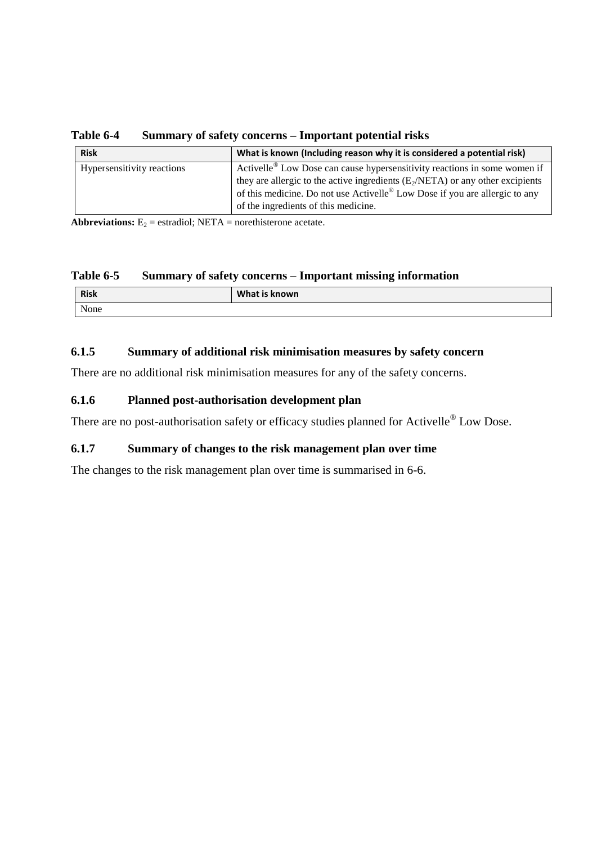**Table 6-4 Summary of safety concerns – Important potential risks**

| <b>Risk</b>                | What is known (Including reason why it is considered a potential risk)                  |  |
|----------------------------|-----------------------------------------------------------------------------------------|--|
| Hypersensitivity reactions | Activelle <sup>®</sup> Low Dose can cause hypersensitivity reactions in some women if   |  |
|                            | they are allergic to the active ingredients $(E_2/NETA)$ or any other excipients        |  |
|                            | of this medicine. Do not use Activelle <sup>®</sup> Low Dose if you are allergic to any |  |
|                            | of the ingredients of this medicine.                                                    |  |

**Abbreviations:**  $E_2$  = estradiol; NETA = norethisterone acetate.

#### **Table 6-5 Summary of safety concerns – Important missing information**

| <b>Risk</b> | What is known |
|-------------|---------------|
| None        |               |

## **6.1.5 Summary of additional risk minimisation measures by safety concern**

There are no additional risk minimisation measures for any of the safety concerns.

## **6.1.6 Planned post-authorisation development plan**

There are no post-authorisation safety or efficacy studies planned for Activelle<sup>®</sup> Low Dose.

# **6.1.7 Summary of changes to the risk management plan over time**

The changes to the risk management plan over time is summarised in 6-6.